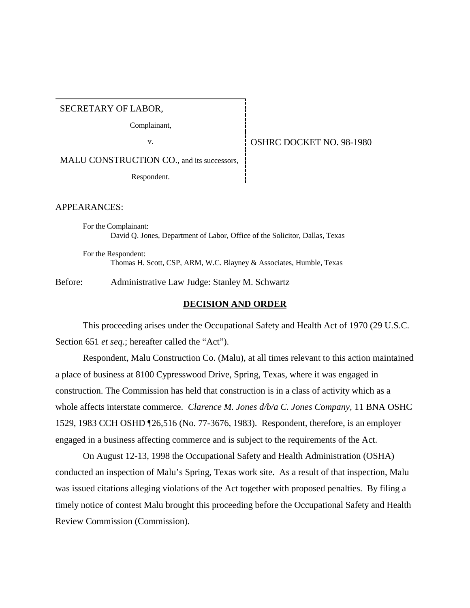SECRETARY OF LABOR,

Complainant,

v. **OSHRC DOCKET NO. 98-1980** 

MALU CONSTRUCTION CO., and its successors,

Respondent.

APPEARANCES:

For the Complainant: David Q. Jones, Department of Labor, Office of the Solicitor, Dallas, Texas

For the Respondent: Thomas H. Scott, CSP, ARM, W.C. Blayney & Associates, Humble, Texas

Before: Administrative Law Judge: Stanley M. Schwartz

#### **DECISION AND ORDER**

This proceeding arises under the Occupational Safety and Health Act of 1970 (29 U.S.C. Section 651 *et seq.*; hereafter called the "Act").

Respondent, Malu Construction Co. (Malu), at all times relevant to this action maintained a place of business at 8100 Cypresswood Drive, Spring, Texas, where it was engaged in construction. The Commission has held that construction is in a class of activity which as a whole affects interstate commerce. *Clarence M. Jones d/b/a C. Jones Company,* 11 BNA OSHC 1529, 1983 CCH OSHD ¶26,516 (No. 77-3676, 1983). Respondent, therefore, is an employer engaged in a business affecting commerce and is subject to the requirements of the Act.

On August 12-13, 1998 the Occupational Safety and Health Administration (OSHA) conducted an inspection of Malu's Spring, Texas work site. As a result of that inspection, Malu was issued citations alleging violations of the Act together with proposed penalties. By filing a timely notice of contest Malu brought this proceeding before the Occupational Safety and Health Review Commission (Commission).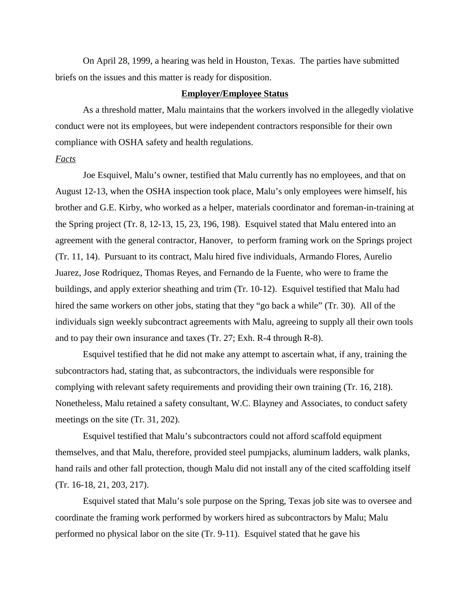On April 28, 1999, a hearing was held in Houston, Texas. The parties have submitted briefs on the issues and this matter is ready for disposition.

### **Employer/Employee Status**

As a threshold matter, Malu maintains that the workers involved in the allegedly violative conduct were not its employees, but were independent contractors responsible for their own compliance with OSHA safety and health regulations.

#### *Facts*

Joe Esquivel, Malu's owner, testified that Malu currently has no employees, and that on August 12-13, when the OSHA inspection took place, Malu's only employees were himself, his brother and G.E. Kirby, who worked as a helper, materials coordinator and foreman-in-training at the Spring project (Tr. 8, 12-13, 15, 23, 196, 198). Esquivel stated that Malu entered into an agreement with the general contractor, Hanover, to perform framing work on the Springs project (Tr. 11, 14). Pursuant to its contract, Malu hired five individuals, Armando Flores, Aurelio Juarez, Jose Rodriquez, Thomas Reyes, and Fernando de la Fuente, who were to frame the buildings, and apply exterior sheathing and trim (Tr. 10-12). Esquivel testified that Malu had hired the same workers on other jobs, stating that they "go back a while" (Tr. 30). All of the individuals sign weekly subcontract agreements with Malu, agreeing to supply all their own tools and to pay their own insurance and taxes (Tr. 27; Exh. R-4 through R-8).

Esquivel testified that he did not make any attempt to ascertain what, if any, training the subcontractors had, stating that, as subcontractors, the individuals were responsible for complying with relevant safety requirements and providing their own training (Tr. 16, 218). Nonetheless, Malu retained a safety consultant, W.C. Blayney and Associates, to conduct safety meetings on the site (Tr. 31, 202).

Esquivel testified that Malu's subcontractors could not afford scaffold equipment themselves, and that Malu, therefore, provided steel pumpjacks, aluminum ladders, walk planks, hand rails and other fall protection, though Malu did not install any of the cited scaffolding itself (Tr. 16-18, 21, 203, 217).

Esquivel stated that Malu's sole purpose on the Spring, Texas job site was to oversee and coordinate the framing work performed by workers hired as subcontractors by Malu; Malu performed no physical labor on the site (Tr. 9-11). Esquivel stated that he gave his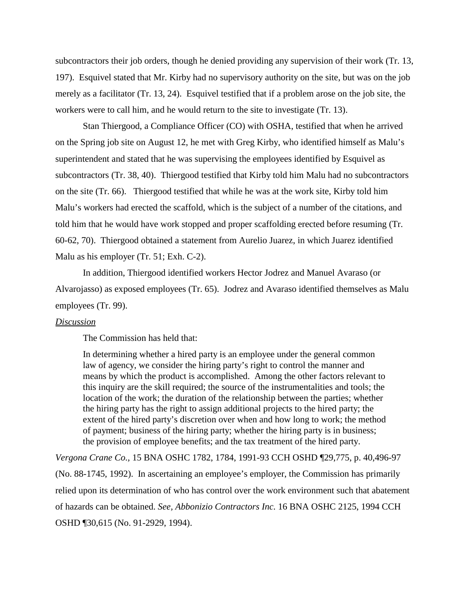subcontractors their job orders, though he denied providing any supervision of their work (Tr. 13, 197). Esquivel stated that Mr. Kirby had no supervisory authority on the site, but was on the job merely as a facilitator (Tr. 13, 24). Esquivel testified that if a problem arose on the job site, the workers were to call him, and he would return to the site to investigate (Tr. 13).

Stan Thiergood, a Compliance Officer (CO) with OSHA, testified that when he arrived on the Spring job site on August 12, he met with Greg Kirby, who identified himself as Malu's superintendent and stated that he was supervising the employees identified by Esquivel as subcontractors (Tr. 38, 40). Thiergood testified that Kirby told him Malu had no subcontractors on the site (Tr. 66). Thiergood testified that while he was at the work site, Kirby told him Malu's workers had erected the scaffold, which is the subject of a number of the citations, and told him that he would have work stopped and proper scaffolding erected before resuming (Tr. 60-62, 70). Thiergood obtained a statement from Aurelio Juarez, in which Juarez identified Malu as his employer (Tr. 51; Exh. C-2).

In addition, Thiergood identified workers Hector Jodrez and Manuel Avaraso (or Alvarojasso) as exposed employees (Tr. 65). Jodrez and Avaraso identified themselves as Malu employees (Tr. 99).

#### *Discussion*

The Commission has held that:

In determining whether a hired party is an employee under the general common law of agency, we consider the hiring party's right to control the manner and means by which the product is accomplished. Among the other factors relevant to this inquiry are the skill required; the source of the instrumentalities and tools; the location of the work; the duration of the relationship between the parties; whether the hiring party has the right to assign additional projects to the hired party; the extent of the hired party's discretion over when and how long to work; the method of payment; business of the hiring party; whether the hiring party is in business; the provision of employee benefits; and the tax treatment of the hired party.

*Vergona Crane Co.,* 15 BNA OSHC 1782, 1784, 1991-93 CCH OSHD ¶29,775, p. 40,496-97 (No. 88-1745, 1992). In ascertaining an employee's employer, the Commission has primarily relied upon its determination of who has control over the work environment such that abatement of hazards can be obtained. *See, Abbonizio Contractors Inc.* 16 BNA OSHC 2125, 1994 CCH OSHD ¶30,615 (No. 91-2929, 1994).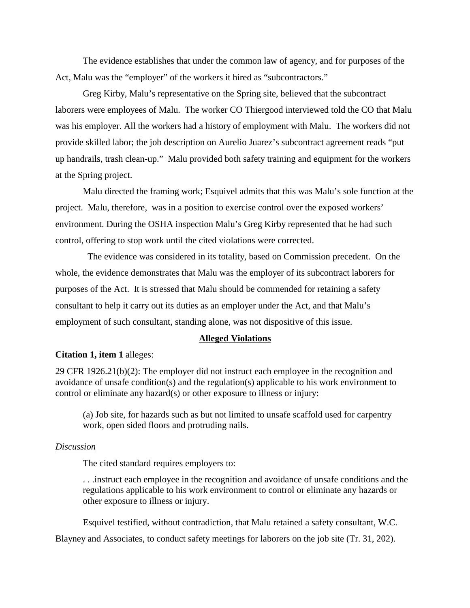The evidence establishes that under the common law of agency, and for purposes of the Act, Malu was the "employer" of the workers it hired as "subcontractors."

Greg Kirby, Malu's representative on the Spring site, believed that the subcontract laborers were employees of Malu. The worker CO Thiergood interviewed told the CO that Malu was his employer. All the workers had a history of employment with Malu. The workers did not provide skilled labor; the job description on Aurelio Juarez's subcontract agreement reads "put up handrails, trash clean-up." Malu provided both safety training and equipment for the workers at the Spring project.

Malu directed the framing work; Esquivel admits that this was Malu's sole function at the project. Malu, therefore, was in a position to exercise control over the exposed workers' environment. During the OSHA inspection Malu's Greg Kirby represented that he had such control, offering to stop work until the cited violations were corrected.

 The evidence was considered in its totality, based on Commission precedent. On the whole, the evidence demonstrates that Malu was the employer of its subcontract laborers for purposes of the Act. It is stressed that Malu should be commended for retaining a safety consultant to help it carry out its duties as an employer under the Act, and that Malu's employment of such consultant, standing alone, was not dispositive of this issue.

#### **Alleged Violations**

### **Citation 1, item 1** alleges:

29 CFR 1926.21(b)(2): The employer did not instruct each employee in the recognition and avoidance of unsafe condition(s) and the regulation(s) applicable to his work environment to control or eliminate any hazard(s) or other exposure to illness or injury:

(a) Job site, for hazards such as but not limited to unsafe scaffold used for carpentry work, open sided floors and protruding nails.

#### *Discussion*

The cited standard requires employers to:

. . .instruct each employee in the recognition and avoidance of unsafe conditions and the regulations applicable to his work environment to control or eliminate any hazards or other exposure to illness or injury.

Esquivel testified, without contradiction, that Malu retained a safety consultant, W.C.

Blayney and Associates, to conduct safety meetings for laborers on the job site (Tr. 31, 202).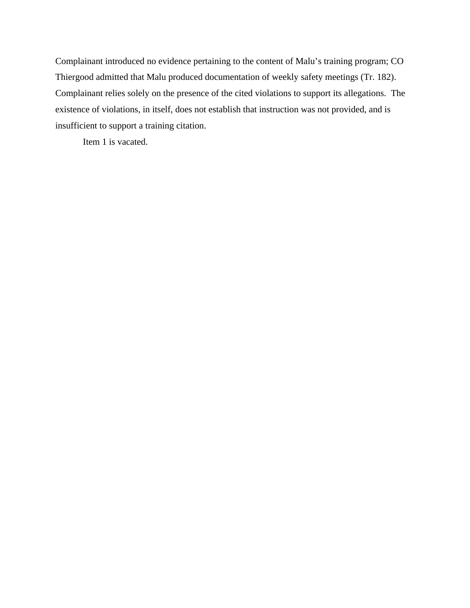Complainant introduced no evidence pertaining to the content of Malu's training program; CO Thiergood admitted that Malu produced documentation of weekly safety meetings (Tr. 182). Complainant relies solely on the presence of the cited violations to support its allegations. The existence of violations, in itself, does not establish that instruction was not provided, and is insufficient to support a training citation.

Item 1 is vacated.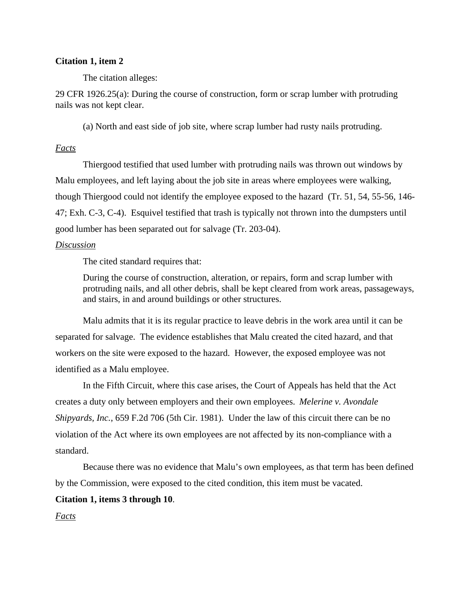### **Citation 1, item 2**

The citation alleges:

29 CFR 1926.25(a): During the course of construction, form or scrap lumber with protruding nails was not kept clear.

(a) North and east side of job site, where scrap lumber had rusty nails protruding.

### *Facts*

Thiergood testified that used lumber with protruding nails was thrown out windows by Malu employees, and left laying about the job site in areas where employees were walking, though Thiergood could not identify the employee exposed to the hazard (Tr. 51, 54, 55-56, 146- 47; Exh. C-3, C-4). Esquivel testified that trash is typically not thrown into the dumpsters until good lumber has been separated out for salvage (Tr. 203-04).

### *Discussion*

The cited standard requires that:

During the course of construction, alteration, or repairs, form and scrap lumber with protruding nails, and all other debris, shall be kept cleared from work areas, passageways, and stairs, in and around buildings or other structures.

Malu admits that it is its regular practice to leave debris in the work area until it can be separated for salvage. The evidence establishes that Malu created the cited hazard, and that workers on the site were exposed to the hazard. However, the exposed employee was not identified as a Malu employee.

In the Fifth Circuit, where this case arises, the Court of Appeals has held that the Act creates a duty only between employers and their own employees. *Melerine v. Avondale Shipyards, Inc.*, 659 F.2d 706 (5th Cir. 1981). Under the law of this circuit there can be no violation of the Act where its own employees are not affected by its non-compliance with a standard.

Because there was no evidence that Malu's own employees, as that term has been defined by the Commission, were exposed to the cited condition, this item must be vacated.

### **Citation 1, items 3 through 10**.

*Facts*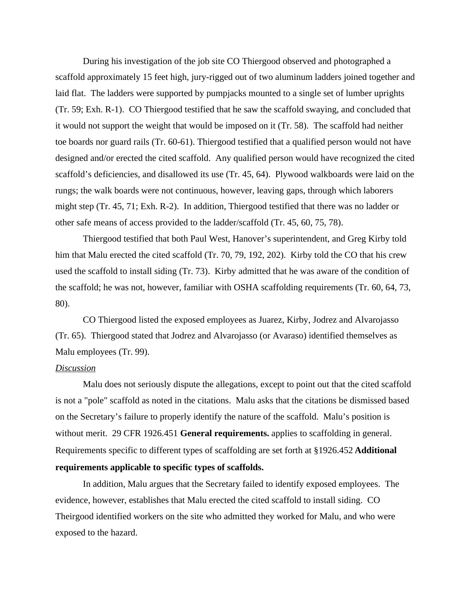During his investigation of the job site CO Thiergood observed and photographed a scaffold approximately 15 feet high, jury-rigged out of two aluminum ladders joined together and laid flat. The ladders were supported by pumpjacks mounted to a single set of lumber uprights (Tr. 59; Exh. R-1). CO Thiergood testified that he saw the scaffold swaying, and concluded that it would not support the weight that would be imposed on it (Tr. 58). The scaffold had neither toe boards nor guard rails (Tr. 60-61). Thiergood testified that a qualified person would not have designed and/or erected the cited scaffold. Any qualified person would have recognized the cited scaffold's deficiencies, and disallowed its use (Tr. 45, 64). Plywood walkboards were laid on the rungs; the walk boards were not continuous, however, leaving gaps, through which laborers might step (Tr. 45, 71; Exh. R-2). In addition, Thiergood testified that there was no ladder or other safe means of access provided to the ladder/scaffold (Tr. 45, 60, 75, 78).

Thiergood testified that both Paul West, Hanover's superintendent, and Greg Kirby told him that Malu erected the cited scaffold (Tr. 70, 79, 192, 202). Kirby told the CO that his crew used the scaffold to install siding (Tr. 73). Kirby admitted that he was aware of the condition of the scaffold; he was not, however, familiar with OSHA scaffolding requirements (Tr. 60, 64, 73, 80).

CO Thiergood listed the exposed employees as Juarez, Kirby, Jodrez and Alvarojasso (Tr. 65). Thiergood stated that Jodrez and Alvarojasso (or Avaraso) identified themselves as Malu employees (Tr. 99).

### *Discussion*

Malu does not seriously dispute the allegations, except to point out that the cited scaffold is not a "pole" scaffold as noted in the citations. Malu asks that the citations be dismissed based on the Secretary's failure to properly identify the nature of the scaffold. Malu's position is without merit. 29 CFR 1926.451 **General requirements.** applies to scaffolding in general. Requirements specific to different types of scaffolding are set forth at §1926.452 **Additional requirements applicable to specific types of scaffolds.**

In addition, Malu argues that the Secretary failed to identify exposed employees. The evidence, however, establishes that Malu erected the cited scaffold to install siding. CO Theirgood identified workers on the site who admitted they worked for Malu, and who were exposed to the hazard.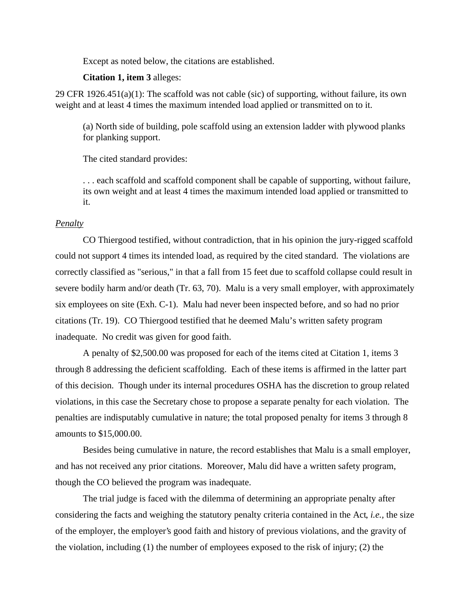Except as noted below, the citations are established.

### **Citation 1, item 3** alleges:

29 CFR 1926.451(a)(1): The scaffold was not cable (sic) of supporting, without failure, its own weight and at least 4 times the maximum intended load applied or transmitted on to it.

(a) North side of building, pole scaffold using an extension ladder with plywood planks for planking support.

The cited standard provides:

. . . each scaffold and scaffold component shall be capable of supporting, without failure, its own weight and at least 4 times the maximum intended load applied or transmitted to it.

### *Penalty*

CO Thiergood testified, without contradiction, that in his opinion the jury-rigged scaffold could not support 4 times its intended load, as required by the cited standard. The violations are correctly classified as "serious," in that a fall from 15 feet due to scaffold collapse could result in severe bodily harm and/or death (Tr. 63, 70). Malu is a very small employer, with approximately six employees on site (Exh. C-1). Malu had never been inspected before, and so had no prior citations (Tr. 19). CO Thiergood testified that he deemed Malu's written safety program inadequate. No credit was given for good faith.

A penalty of \$2,500.00 was proposed for each of the items cited at Citation 1, items 3 through 8 addressing the deficient scaffolding. Each of these items is affirmed in the latter part of this decision. Though under its internal procedures OSHA has the discretion to group related violations, in this case the Secretary chose to propose a separate penalty for each violation. The penalties are indisputably cumulative in nature; the total proposed penalty for items 3 through 8 amounts to \$15,000.00.

Besides being cumulative in nature, the record establishes that Malu is a small employer, and has not received any prior citations. Moreover, Malu did have a written safety program, though the CO believed the program was inadequate.

The trial judge is faced with the dilemma of determining an appropriate penalty after considering the facts and weighing the statutory penalty criteria contained in the Act, *i.e.,* the size of the employer, the employer's good faith and history of previous violations, and the gravity of the violation, including (1) the number of employees exposed to the risk of injury; (2) the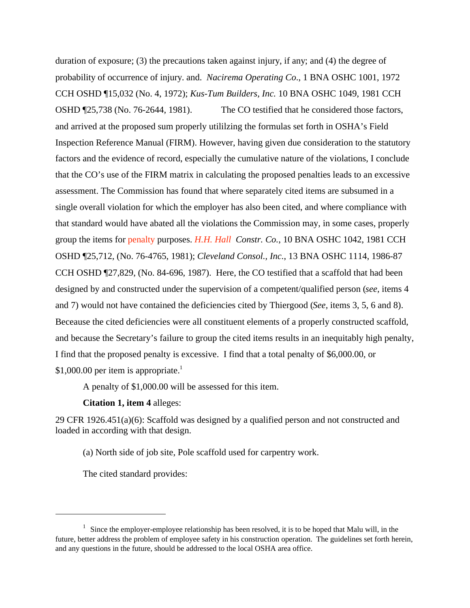duration of exposure; (3) the precautions taken against injury, if any; and (4) the degree of probability of occurrence of injury. and. *Nacirema Operating Co*., 1 BNA OSHC 1001, 1972 CCH OSHD ¶15,032 (No. 4, 1972); *Kus-Tum Builders, Inc.* 10 BNA OSHC 1049, 1981 CCH OSHD ¶25,738 (No. 76-2644, 1981). The CO testified that he considered those factors, and arrived at the proposed sum properly utililzing the formulas set forth in OSHA's Field Inspection Reference Manual (FIRM). However, having given due consideration to the statutory factors and the evidence of record, especially the cumulative nature of the violations, I conclude that the CO's use of the FIRM matrix in calculating the proposed penalties leads to an excessive assessment. The Commission has found that where separately cited items are subsumed in a single overall violation for which the employer has also been cited, and where compliance with that standard would have abated all the violations the Commission may, in some cases, properly group the items for penalty purposes. *H.H. Hall Constr. Co.*, 10 BNA OSHC 1042, 1981 CCH OSHD ¶25,712, (No. 76-4765, 1981); *Cleveland Consol., Inc.*, 13 BNA OSHC 1114, 1986-87 CCH OSHD ¶27,829, (No. 84-696, 1987). Here, the CO testified that a scaffold that had been designed by and constructed under the supervision of a competent/qualified person (*see,* items 4 and 7) would not have contained the deficiencies cited by Thiergood (*See,* items 3, 5, 6 and 8). Beceause the cited deficiencies were all constituent elements of a properly constructed scaffold, and because the Secretary's failure to group the cited items results in an inequitably high penalty, I find that the proposed penalty is excessive. I find that a total penalty of \$6,000.00, or \$1,000.00 per item is appropriate.<sup>1</sup>

A penalty of \$1,000.00 will be assessed for this item.

### **Citation 1, item 4** alleges:

29 CFR 1926.451(a)(6): Scaffold was designed by a qualified person and not constructed and loaded in according with that design.

(a) North side of job site, Pole scaffold used for carpentry work.

The cited standard provides:

 $1$  Since the employer-employee relationship has been resolved, it is to be hoped that Malu will, in the future, better address the problem of employee safety in his construction operation. The guidelines set forth herein, and any questions in the future, should be addressed to the local OSHA area office.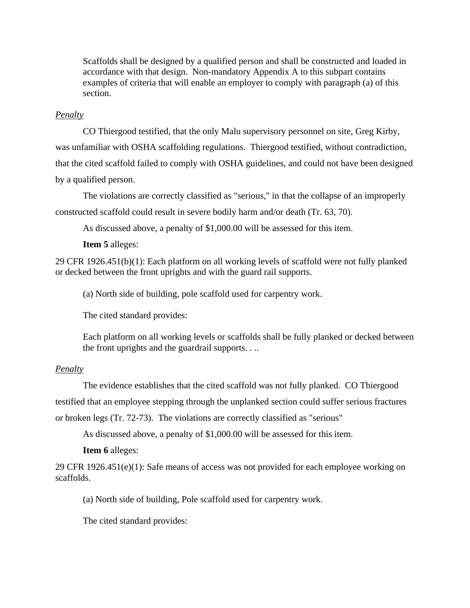Scaffolds shall be designed by a qualified person and shall be constructed and loaded in accordance with that design. Non-mandatory Appendix A to this subpart contains examples of criteria that will enable an employer to comply with paragraph (a) of this section.

## *Penalty*

 CO Thiergood testified, that the only Malu supervisory personnel on site, Greg Kirby, was unfamiliar with OSHA scaffolding regulations. Thiergood testified, without contradiction, that the cited scaffold failed to comply with OSHA guidelines, and could not have been designed by a qualified person.

The violations are correctly classified as "serious," in that the collapse of an improperly constructed scaffold could result in severe bodily harm and/or death (Tr. 63, 70).

As discussed above, a penalty of \$1,000.00 will be assessed for this item.

**Item 5** alleges:

29 CFR 1926.451(b)(1): Each platform on all working levels of scaffold were not fully planked or decked between the front uprights and with the guard rail supports.

(a) North side of building, pole scaffold used for carpentry work.

The cited standard provides:

Each platform on all working levels or scaffolds shall be fully planked or decked between the front uprights and the guardrail supports. . ..

# *Penalty*

The evidence establishes that the cited scaffold was not fully planked. CO Thiergood testified that an employee stepping through the unplanked section could suffer serious fractures or broken legs (Tr. 72-73). The violations are correctly classified as "serious"

As discussed above, a penalty of \$1,000.00 will be assessed for this item.

**Item 6** alleges:

29 CFR 1926.451(e)(1): Safe means of access was not provided for each employee working on scaffolds.

(a) North side of building, Pole scaffold used for carpentry work.

The cited standard provides: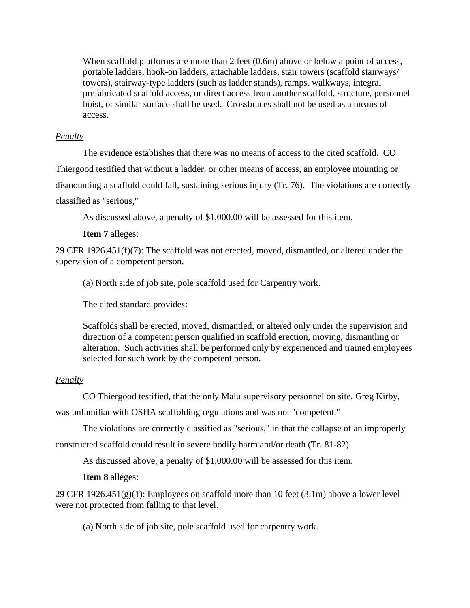When scaffold platforms are more than 2 feet (0.6m) above or below a point of access, portable ladders, hook-on ladders, attachable ladders, stair towers (scaffold stairways/ towers), stairway-type ladders (such as ladder stands), ramps, walkways, integral prefabricated scaffold access, or direct access from another scaffold, structure, personnel hoist, or similar surface shall be used. Crossbraces shall not be used as a means of access.

## *Penalty*

The evidence establishes that there was no means of access to the cited scaffold. CO Thiergood testified that without a ladder, or other means of access, an employee mounting or dismounting a scaffold could fall, sustaining serious injury (Tr. 76). The violations are correctly classified as "serious,"

As discussed above, a penalty of \$1,000.00 will be assessed for this item.

**Item 7** alleges:

29 CFR 1926.451(f)(7): The scaffold was not erected, moved, dismantled, or altered under the supervision of a competent person.

(a) North side of job site, pole scaffold used for Carpentry work.

The cited standard provides:

Scaffolds shall be erected, moved, dismantled, or altered only under the supervision and direction of a competent person qualified in scaffold erection, moving, dismantling or alteration. Such activities shall be performed only by experienced and trained employees selected for such work by the competent person.

# *Penalty*

CO Thiergood testified, that the only Malu supervisory personnel on site, Greg Kirby,

was unfamiliar with OSHA scaffolding regulations and was not "competent."

The violations are correctly classified as "serious," in that the collapse of an improperly

constructed scaffold could result in severe bodily harm and/or death (Tr. 81-82).

As discussed above, a penalty of \$1,000.00 will be assessed for this item.

**Item 8** alleges:

29 CFR 1926.451(g)(1): Employees on scaffold more than 10 feet (3.1m) above a lower level were not protected from falling to that level.

(a) North side of job site, pole scaffold used for carpentry work.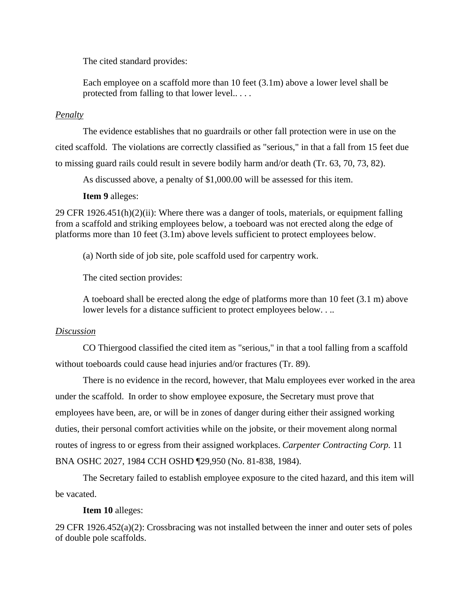The cited standard provides:

Each employee on a scaffold more than 10 feet (3.1m) above a lower level shall be protected from falling to that lower level.. . . .

### *Penalty*

The evidence establishes that no guardrails or other fall protection were in use on the cited scaffold. The violations are correctly classified as "serious," in that a fall from 15 feet due to missing guard rails could result in severe bodily harm and/or death (Tr. 63, 70, 73, 82).

As discussed above, a penalty of \$1,000.00 will be assessed for this item.

**Item 9** alleges:

29 CFR 1926.451(h)(2)(ii): Where there was a danger of tools, materials, or equipment falling from a scaffold and striking employees below, a toeboard was not erected along the edge of platforms more than 10 feet (3.1m) above levels sufficient to protect employees below.

(a) North side of job site, pole scaffold used for carpentry work.

The cited section provides:

A toeboard shall be erected along the edge of platforms more than 10 feet (3.1 m) above lower levels for a distance sufficient to protect employees below....

### *Discussion*

CO Thiergood classified the cited item as "serious," in that a tool falling from a scaffold without toeboards could cause head injuries and/or fractures (Tr. 89).

There is no evidence in the record, however, that Malu employees ever worked in the area under the scaffold. In order to show employee exposure, the Secretary must prove that employees have been, are, or will be in zones of danger during either their assigned working duties, their personal comfort activities while on the jobsite, or their movement along normal routes of ingress to or egress from their assigned workplaces. *Carpenter Contracting Corp.* 11 BNA OSHC 2027, 1984 CCH OSHD ¶29,950 (No. 81-838, 1984).

The Secretary failed to establish employee exposure to the cited hazard, and this item will be vacated.

# **Item 10** alleges:

29 CFR 1926.452(a)(2): Crossbracing was not installed between the inner and outer sets of poles of double pole scaffolds.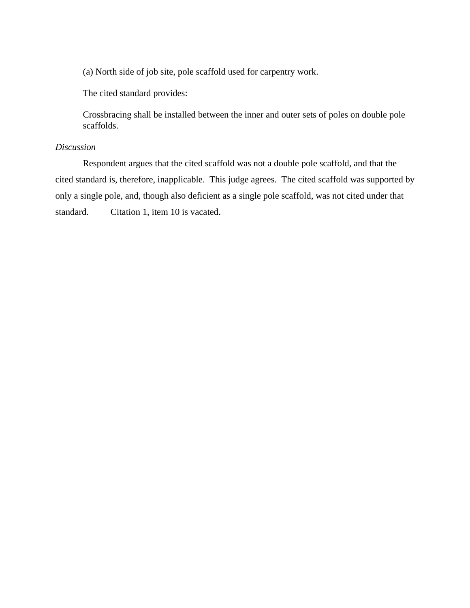(a) North side of job site, pole scaffold used for carpentry work.

The cited standard provides:

Crossbracing shall be installed between the inner and outer sets of poles on double pole scaffolds.

# *Discussion*

Respondent argues that the cited scaffold was not a double pole scaffold, and that the cited standard is, therefore, inapplicable. This judge agrees. The cited scaffold was supported by only a single pole, and, though also deficient as a single pole scaffold, was not cited under that standard. Citation 1, item 10 is vacated.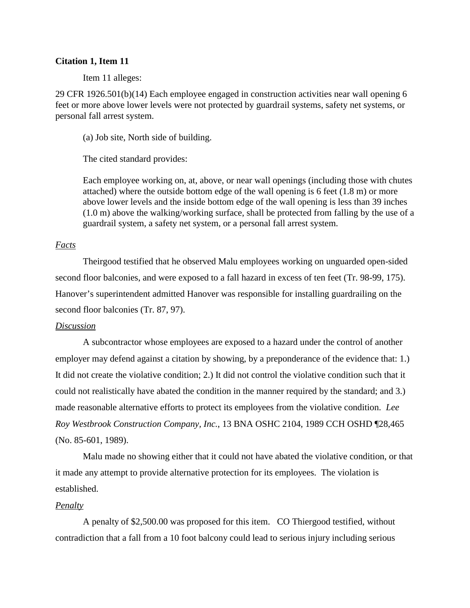### **Citation 1, Item 11**

Item 11 alleges:

29 CFR 1926.501(b)(14) Each employee engaged in construction activities near wall opening 6 feet or more above lower levels were not protected by guardrail systems, safety net systems, or personal fall arrest system.

(a) Job site, North side of building.

The cited standard provides:

Each employee working on, at, above, or near wall openings (including those with chutes attached) where the outside bottom edge of the wall opening is 6 feet (1.8 m) or more above lower levels and the inside bottom edge of the wall opening is less than 39 inches (1.0 m) above the walking/working surface, shall be protected from falling by the use of a guardrail system, a safety net system, or a personal fall arrest system.

### *Facts*

Theirgood testified that he observed Malu employees working on unguarded open-sided second floor balconies, and were exposed to a fall hazard in excess of ten feet (Tr. 98-99, 175). Hanover's superintendent admitted Hanover was responsible for installing guardrailing on the second floor balconies (Tr. 87, 97).

### *Discussion*

A subcontractor whose employees are exposed to a hazard under the control of another employer may defend against a citation by showing, by a preponderance of the evidence that: 1.) It did not create the violative condition; 2.) It did not control the violative condition such that it could not realistically have abated the condition in the manner required by the standard; and 3.) made reasonable alternative efforts to protect its employees from the violative condition. *Lee Roy Westbrook Construction Company, Inc.*, 13 BNA OSHC 2104, 1989 CCH OSHD ¶28,465 (No. 85-601, 1989).

Malu made no showing either that it could not have abated the violative condition, or that it made any attempt to provide alternative protection for its employees. The violation is established.

### *Penalty*

A penalty of \$2,500.00 was proposed for this item. CO Thiergood testified, without contradiction that a fall from a 10 foot balcony could lead to serious injury including serious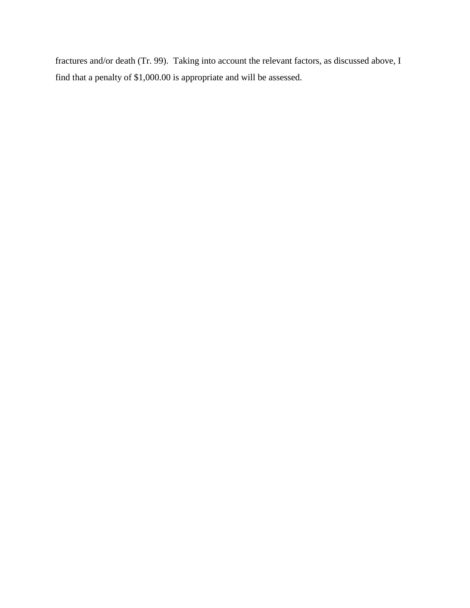fractures and/or death (Tr. 99). Taking into account the relevant factors, as discussed above, I find that a penalty of \$1,000.00 is appropriate and will be assessed.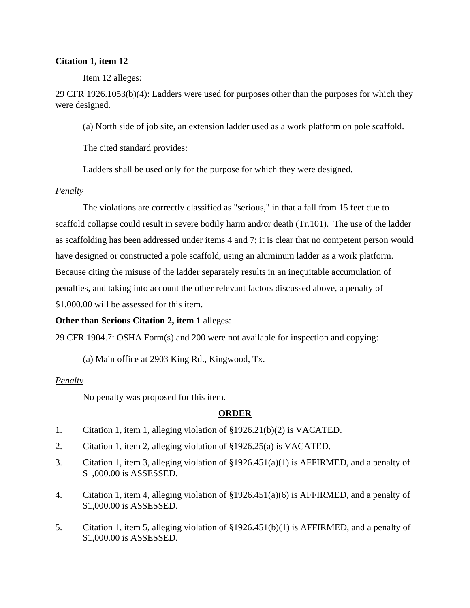## **Citation 1, item 12**

Item 12 alleges:

29 CFR 1926.1053(b)(4): Ladders were used for purposes other than the purposes for which they were designed.

(a) North side of job site, an extension ladder used as a work platform on pole scaffold.

The cited standard provides:

Ladders shall be used only for the purpose for which they were designed.

# *Penalty*

The violations are correctly classified as "serious," in that a fall from 15 feet due to scaffold collapse could result in severe bodily harm and/or death (Tr.101). The use of the ladder as scaffolding has been addressed under items 4 and 7; it is clear that no competent person would have designed or constructed a pole scaffold, using an aluminum ladder as a work platform. Because citing the misuse of the ladder separately results in an inequitable accumulation of penalties, and taking into account the other relevant factors discussed above, a penalty of \$1,000.00 will be assessed for this item.

# **Other than Serious Citation 2, item 1** alleges:

29 CFR 1904.7: OSHA Form(s) and 200 were not available for inspection and copying:

(a) Main office at 2903 King Rd., Kingwood, Tx.

# *Penalty*

No penalty was proposed for this item.

# **ORDER**

- 1. Citation 1, item 1, alleging violation of §1926.21(b)(2) is VACATED.
- 2. Citation 1, item 2, alleging violation of §1926.25(a) is VACATED.
- 3. Citation 1, item 3, alleging violation of §1926.451(a)(1) is AFFIRMED, and a penalty of \$1,000.00 is ASSESSED.
- 4. Citation 1, item 4, alleging violation of §1926.451(a)(6) is AFFIRMED, and a penalty of \$1,000.00 is ASSESSED.
- 5. Citation 1, item 5, alleging violation of §1926.451(b)(1) is AFFIRMED, and a penalty of \$1,000.00 is ASSESSED.